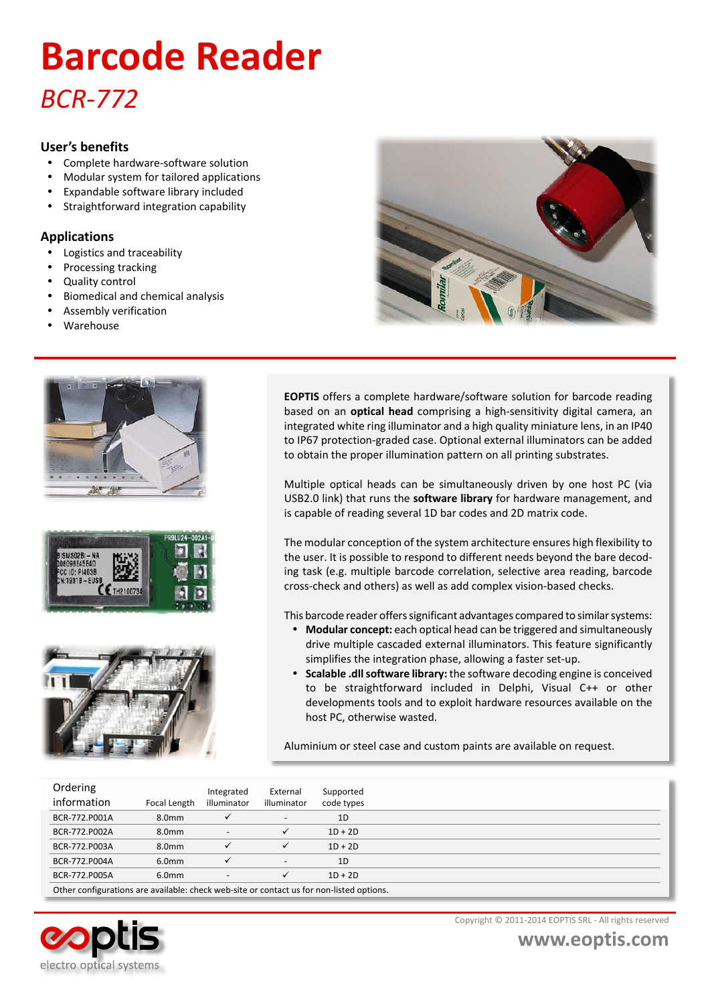# *BCR-772* **Barcode Reader**

#### **User's benefits**

- Complete hardware-software solution
- ü Modular system for tailored applications
- Expandable software library included
- Straightforward integration capability

### **Applications**

- Logistics and traceability
- Processing tracking
- Quality control
- Biomedical and chemical analysis
- Assembly verification
- Warehouse









**EOPTIS** offers a complete hardware/software solution for barcode reading based on an **optical head** comprising a high-sensitivity digital camera, an integrated white ring illuminator and a high quality miniature lens, in an IP40 to IP67 protection-graded case. Optional external illuminators can be added to obtain the proper illumination pattern on all printing substrates.

Multiple optical heads can be simultaneously driven by one host PC (via USB2.0 link) that runs the **software library** for hardware management, and is capable of reading several 1D bar codes and 2D matrix code.

The modular conception of the system architecture ensures high flexibility to the user. It is possible to respond to different needs beyond the bare decoding task (e.g. multiple barcode correlation, selective area reading, barcode cross-check and others) as well as add complex vision-based checks.

This barcode reader offers significant advantages compared to similar systems:

- ü **Modular concept:** each optical head can be triggered and simultaneously drive multiple cascaded external illuminators. This feature significantly simplifies the integration phase, allowing a faster set-up.
- ü **Scalable .dll software library:** the software decoding engine is conceived to be straightforward included in Delphi, Visual C++ or other developments tools and to exploit hardware resources available on the host PC, otherwise wasted.

Aluminium or steel case and custom paints are available on request.

| Ordering<br>information                                                                  | Focal Length      | Integrated<br>illuminator | External<br>illuminator | Supported<br>code types |  |  |  |
|------------------------------------------------------------------------------------------|-------------------|---------------------------|-------------------------|-------------------------|--|--|--|
| BCR-772.P001A                                                                            | 8.0 <sub>mm</sub> |                           |                         | 1D                      |  |  |  |
| BCR-772.P002A                                                                            | 8.0 <sub>mm</sub> | ٠                         | $\checkmark$            | $1D + 2D$               |  |  |  |
| BCR-772.P003A                                                                            | 8.0 <sub>mm</sub> |                           | $\checkmark$            | $1D + 2D$               |  |  |  |
| BCR-772.P004A                                                                            | 6.0 <sub>mm</sub> |                           |                         | 1D                      |  |  |  |
| BCR-772.P005A                                                                            | 6.0 <sub>mm</sub> | ٠                         | $\checkmark$            | $1D + 2D$               |  |  |  |
| Other configurations are available: check web-site or contact us for non-listed options. |                   |                           |                         |                         |  |  |  |



Copyright © 2011-2014 EOPTIS SRL - All rights reserved